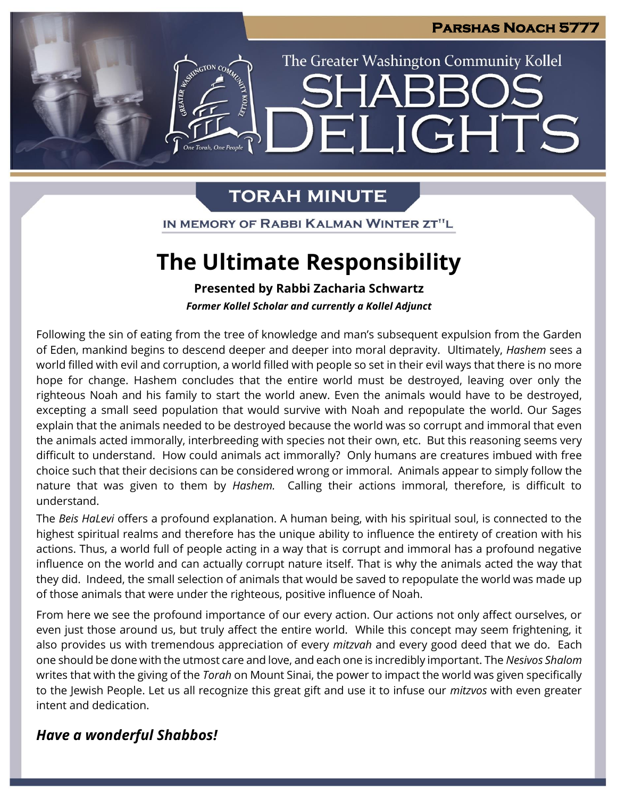

# The Greater Washington Community Kollel LIGHTS H

# **TORAH MINUTE**

EMERAL REGION CO.

IN MEMORY OF RABBI KALMAN WINTER ZT"L

# **The Ultimate Responsibility**

**Presented by Rabbi Zacharia Schwartz**

*Former Kollel Scholar and currently a Kollel Adjunct*

Following the sin of eating from the tree of knowledge and man's subsequent expulsion from the Garden of Eden, mankind begins to descend deeper and deeper into moral depravity. Ultimately, *Hashem* sees a world filled with evil and corruption, a world filled with people so set in their evil ways that there is no more hope for change. Hashem concludes that the entire world must be destroyed, leaving over only the righteous Noah and his family to start the world anew. Even the animals would have to be destroyed, excepting a small seed population that would survive with Noah and repopulate the world. Our Sages explain that the animals needed to be destroyed because the world was so corrupt and immoral that even the animals acted immorally, interbreeding with species not their own, etc. But this reasoning seems very difficult to understand. How could animals act immorally? Only humans are creatures imbued with free choice such that their decisions can be considered wrong or immoral. Animals appear to simply follow the nature that was given to them by *Hashem.* Calling their actions immoral, therefore, is difficult to understand.

The *Beis HaLevi* offers a profound explanation. A human being, with his spiritual soul, is connected to the highest spiritual realms and therefore has the unique ability to influence the entirety of creation with his actions. Thus, a world full of people acting in a way that is corrupt and immoral has a profound negative influence on the world and can actually corrupt nature itself. That is why the animals acted the way that they did. Indeed, the small selection of animals that would be saved to repopulate the world was made up of those animals that were under the righteous, positive influence of Noah.

From here we see the profound importance of our every action. Our actions not only affect ourselves, or even just those around us, but truly affect the entire world. While this concept may seem frightening, it also provides us with tremendous appreciation of every *mitzvah* and every good deed that we do. Each one should be done with the utmost care and love, and each one is incredibly important. The *Nesivos Shalom* writes that with the giving of the *Torah* on Mount Sinai, the power to impact the world was given specifically to the Jewish People. Let us all recognize this great gift and use it to infuse our *mitzvos* with even greater intent and dedication.

# *Have a wonderful Shabbos!*